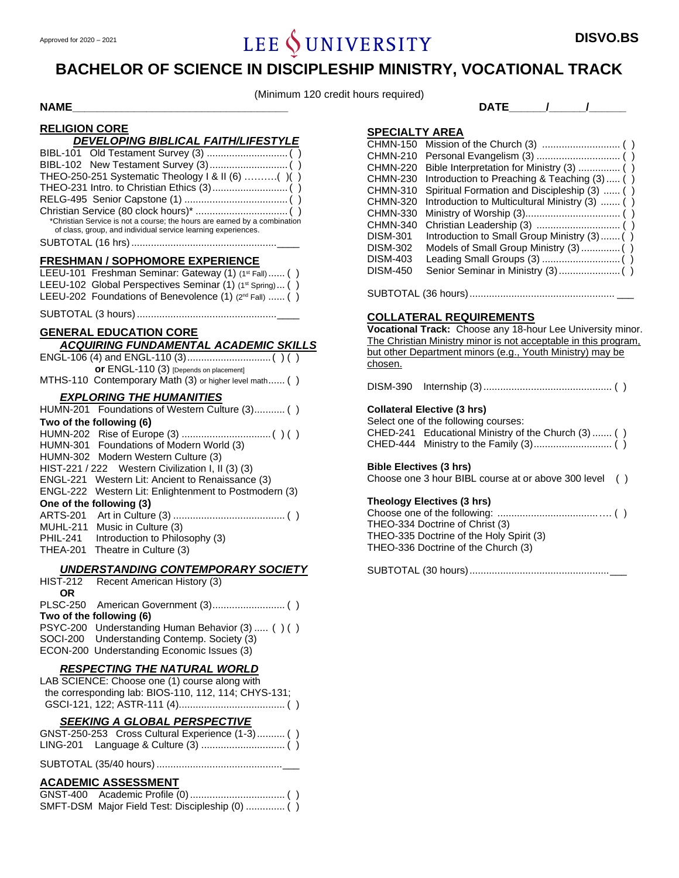# Approved for 2020 – 2021 **DISVO.BS DISVO.BS**

# **BACHELOR OF SCIENCE IN DISCIPLESHIP MINISTRY, VOCATIONAL TRACK**

(Minimum 120 credit hours required)

#### **NAME**  $\begin{bmatrix} 1 & 1 & 1 \\ 1 & 1 & 1 \end{bmatrix}$

#### **RELIGION CORE**

| DEVELOPING BIBLICAL FAITH/LIFESTYLE                                                                                                        |
|--------------------------------------------------------------------------------------------------------------------------------------------|
|                                                                                                                                            |
|                                                                                                                                            |
| THEO-250-251 Systematic Theology   & II (6) ()()                                                                                           |
|                                                                                                                                            |
|                                                                                                                                            |
| *Christian Service is not a course; the hours are earned by a combination<br>of class, group, and individual service learning experiences. |
|                                                                                                                                            |

#### **FRESHMAN / SOPHOMORE EXPERIENCE**

| LEEU-101 Freshman Seminar: Gateway (1) (1st Fall)  ()              |  |
|--------------------------------------------------------------------|--|
| LEEU-102 Global Perspectives Seminar (1) (1st Spring) ()           |  |
| LEEU-202 Foundations of Benevolence (1) (2 <sup>nd</sup> Fall)  () |  |

SUBTOTAL (3 hours)..................................................\_\_\_\_

### **GENERAL EDUCATION CORE** *ACQUIRING FUNDAMENTAL ACADEMIC SKILLS*

| <b>or</b> ENGL-110 (3) [Depends on placement]          |  |
|--------------------------------------------------------|--|
| MTHS-110 Contemporary Math (3) or higher level math () |  |

#### *EXPLORING THE HUMANITIES*

|          | HUMN-201 Foundations of Western Culture (3) ()        |
|----------|-------------------------------------------------------|
|          | Two of the following (6)                              |
|          |                                                       |
|          | HUMN-301 Foundations of Modern World (3)              |
|          | HUMN-302 Modern Western Culture (3)                   |
|          | HIST-221 / 222 Western Civilization I, II (3) (3)     |
|          | ENGL-221 Western Lit: Ancient to Renaissance (3)      |
|          | ENGL-222 Western Lit: Enlightenment to Postmodern (3) |
|          | One of the following (3)                              |
|          |                                                       |
|          | MUHL-211 Music in Culture (3)                         |
| PHIL-241 | Introduction to Philosophy (3)                        |
|          | THEA-201 Theatre in Culture (3)                       |
|          |                                                       |

#### *UNDERSTANDING CONTEMPORARY SOCIETY*

|     | HIST-212 Recent American History (3)             |  |
|-----|--------------------------------------------------|--|
| OR. |                                                  |  |
|     |                                                  |  |
|     | Two of the following (6)                         |  |
|     | PSYC-200 Understanding Human Behavior (3)  () () |  |
|     | SOCI-200 Understanding Contemp. Society (3)      |  |
|     | ECON-200 Understanding Economic Issues (3)       |  |
|     |                                                  |  |

#### *RESPECTING THE NATURAL WORLD*

| LAB SCIENCE: Choose one (1) course along with        |
|------------------------------------------------------|
| the corresponding lab: BIOS-110, 112, 114; CHYS-131; |
|                                                      |

#### *SEEKING A GLOBAL PERSPECTIVE*

|  | GNST-250-253 Cross Cultural Experience (1-3) () |  |
|--|-------------------------------------------------|--|
|  |                                                 |  |

#### SUBTOTAL (35/40 hours).............................................\_\_\_

#### **ACADEMIC ASSESSMENT**

| SMFT-DSM Major Field Test: Discipleship (0)  () |  |
|-------------------------------------------------|--|

#### **SPECIALTY AREA**

| CHMN-210        |                                                |
|-----------------|------------------------------------------------|
| <b>CHMN-220</b> |                                                |
| <b>CHMN-230</b> | Introduction to Preaching & Teaching (3)  ()   |
| <b>CHMN-310</b> | Spiritual Formation and Discipleship (3)  ()   |
| <b>CHMN-320</b> | Introduction to Multicultural Ministry (3)  () |
| CHMN-330        |                                                |
| CHMN-340        |                                                |
| <b>DISM-301</b> | Introduction to Small Group Ministry (3) ()    |
| <b>DISM-302</b> |                                                |
| <b>DISM-403</b> |                                                |
| <b>DISM-450</b> |                                                |
|                 |                                                |

SUBTOTAL (36 hours).................................................... \_\_\_

#### **COLLATERAL REQUIREMENTS**

**Vocational Track:** Choose any 18-hour Lee University minor. The Christian Ministry minor is not acceptable in this program, but other Department minors (e.g., Youth Ministry) may be chosen.

DISM-390 Internship (3).............................................. ( )

#### **Collateral Elective (3 hrs)**

Select one of the following courses: CHED-241 Educational Ministry of the Church (3) ....... ( ) CHED-444 Ministry to the Family (3)............................ ( )

#### **Bible Electives (3 hrs)**

Choose one 3 hour BIBL course at or above 300 level ( )

#### **Theology Electives (3 hrs)**

Choose one of the following: ....................................…. ( ) THEO-334 Doctrine of Christ (3) THEO-335 Doctrine of the Holy Spirit (3) THEO-336 Doctrine of the Church (3)

SUBTOTAL (30 hours)..................................................\_\_\_